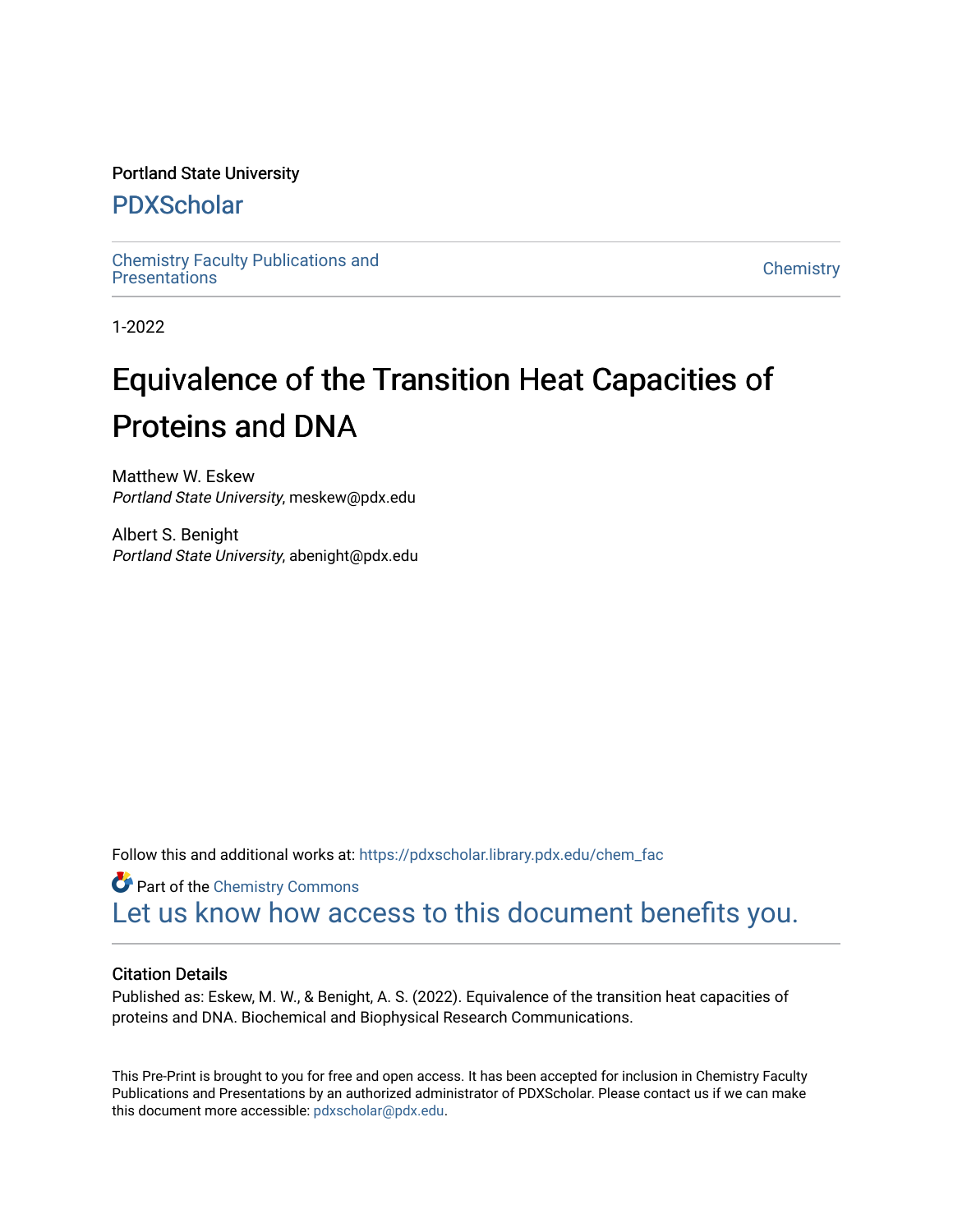#### Portland State University

# [PDXScholar](https://pdxscholar.library.pdx.edu/)

[Chemistry Faculty Publications and](https://pdxscholar.library.pdx.edu/chem_fac)  [Chemistry](https://pdxscholar.library.pdx.edu/chem) Pacific Phonolations and Chemistry Chemistry Chemistry Chemistry

1-2022

# Equivalence of the Transition Heat Capacities of Proteins and DNA

Matthew W. Eskew Portland State University, meskew@pdx.edu

Albert S. Benight Portland State University, abenight@pdx.edu

Follow this and additional works at: [https://pdxscholar.library.pdx.edu/chem\\_fac](https://pdxscholar.library.pdx.edu/chem_fac?utm_source=pdxscholar.library.pdx.edu%2Fchem_fac%2F436&utm_medium=PDF&utm_campaign=PDFCoverPages) 

**Part of the Chemistry Commons** [Let us know how access to this document benefits you.](http://library.pdx.edu/services/pdxscholar-services/pdxscholar-feedback/?ref=https://pdxscholar.library.pdx.edu/chem_fac/436) 

#### Citation Details

Published as: Eskew, M. W., & Benight, A. S. (2022). Equivalence of the transition heat capacities of proteins and DNA. Biochemical and Biophysical Research Communications.

This Pre-Print is brought to you for free and open access. It has been accepted for inclusion in Chemistry Faculty Publications and Presentations by an authorized administrator of PDXScholar. Please contact us if we can make this document more accessible: [pdxscholar@pdx.edu.](mailto:pdxscholar@pdx.edu)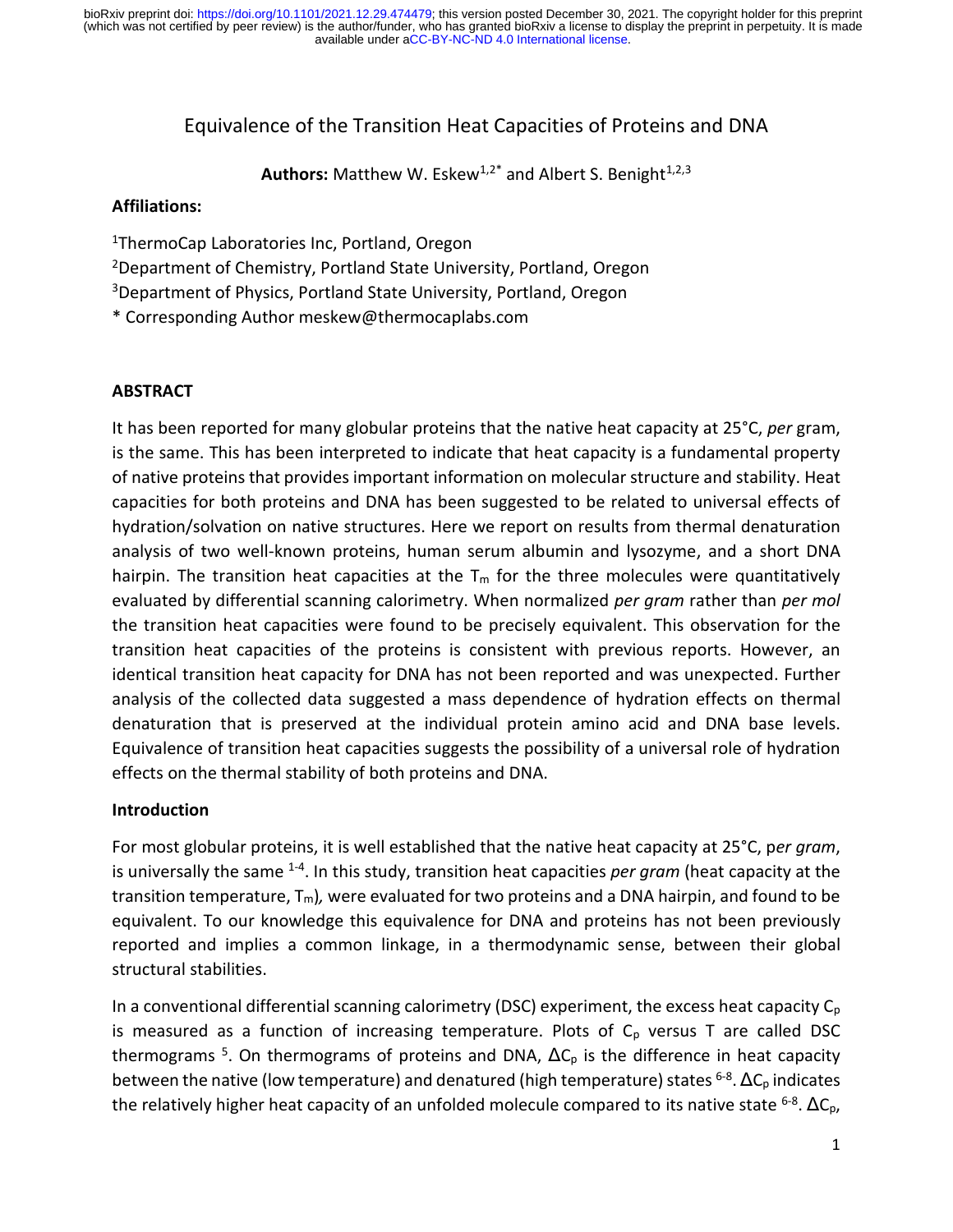# Equivalence of the Transition Heat Capacities of Proteins and DNA

**Authors:** Matthew W. Eskew<sup>1,2\*</sup> and Albert S. Benight<sup>1,2,3</sup>

## **Affiliations:**

- <sup>1</sup>ThermoCap Laboratories Inc, Portland, Oregon
- <sup>2</sup>Department of Chemistry, Portland State University, Portland, Oregon
- <sup>3</sup>Department of Physics, Portland State University, Portland, Oregon
- \* Corresponding Author meskew@thermocaplabs.com

# **ABSTRACT**

It has been reported for many globular proteins that the native heat capacity at 25°C, *per* gram, is the same. This has been interpreted to indicate that heat capacity is a fundamental property of native proteins that provides important information on molecular structure and stability. Heat capacities for both proteins and DNA has been suggested to be related to universal effects of hydration/solvation on native structures. Here we report on results from thermal denaturation analysis of two well-known proteins, human serum albumin and lysozyme, and a short DNA hairpin. The transition heat capacities at the  $T_m$  for the three molecules were quantitatively evaluated by differential scanning calorimetry. When normalized *per gram* rather than *per mol* the transition heat capacities were found to be precisely equivalent. This observation for the transition heat capacities of the proteins is consistent with previous reports. However, an identical transition heat capacity for DNA has not been reported and was unexpected. Further analysis of the collected data suggested a mass dependence of hydration effects on thermal denaturation that is preserved at the individual protein amino acid and DNA base levels. Equivalence of transition heat capacities suggests the possibility of a universal role of hydration effects on the thermal stability of both proteins and DNA.

## **Introduction**

For most globular proteins, it is well established that the native heat capacity at 25°C, p*er gram*, is universally the same <sup>1-4</sup>. In this study, transition heat capacities *per gram* (heat capacity at the transition temperature, Tm)*,* were evaluated for two proteins and a DNA hairpin, and found to be equivalent. To our knowledge this equivalence for DNA and proteins has not been previously reported and implies a common linkage, in a thermodynamic sense, between their global structural stabilities.

In a conventional differential scanning calorimetry (DSC) experiment, the excess heat capacity  $C_p$ is measured as a function of increasing temperature. Plots of  $C<sub>p</sub>$  versus T are called DSC thermograms <sup>5</sup>. On thermograms of proteins and DNA,  $\Delta C_p$  is the difference in heat capacity between the native (low temperature) and denatured (high temperature) states <sup>6-8</sup>.  $\Delta C_p$  indicates the relatively higher heat capacity of an unfolded molecule compared to its native state  $^{6-8}$ .  $\Delta C_{p}$ ,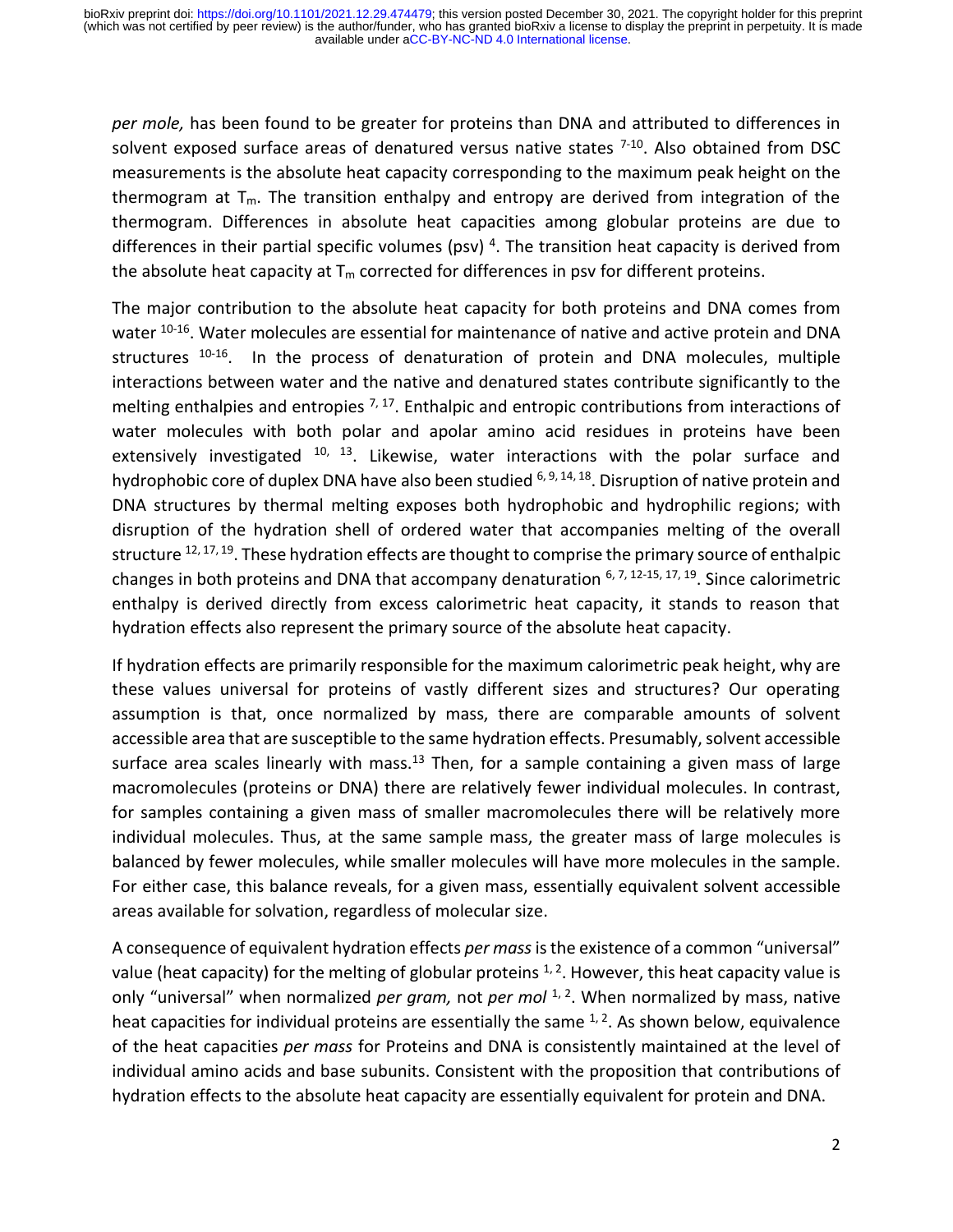*per mole,* has been found to be greater for proteins than DNA and attributed to differences in solvent exposed surface areas of denatured versus native states <sup>7-10</sup>. Also obtained from DSC measurements is the absolute heat capacity corresponding to the maximum peak height on the thermogram at  $T_m$ . The transition enthalpy and entropy are derived from integration of the thermogram. Differences in absolute heat capacities among globular proteins are due to differences in their partial specific volumes (psv)<sup>4</sup>. The transition heat capacity is derived from the absolute heat capacity at  $T_m$  corrected for differences in psv for different proteins.

The major contribution to the absolute heat capacity for both proteins and DNA comes from water <sup>10-16</sup>. Water molecules are essential for maintenance of native and active protein and DNA structures <sup>10-16</sup>. In the process of denaturation of protein and DNA molecules, multiple interactions between water and the native and denatured states contribute significantly to the melting enthalpies and entropies <sup>7, 17</sup>. Enthalpic and entropic contributions from interactions of water molecules with both polar and apolar amino acid residues in proteins have been extensively investigated  $10$ ,  $13$ . Likewise, water interactions with the polar surface and hydrophobic core of duplex DNA have also been studied <sup>6, 9, 14, 18</sup>. Disruption of native protein and DNA structures by thermal melting exposes both hydrophobic and hydrophilic regions; with disruption of the hydration shell of ordered water that accompanies melting of the overall structure <sup>12, 17, 19</sup>. These hydration effects are thought to comprise the primary source of enthalpic changes in both proteins and DNA that accompany denaturation  $6, 7, 12-15, 17, 19$ . Since calorimetric enthalpy is derived directly from excess calorimetric heat capacity, it stands to reason that hydration effects also represent the primary source of the absolute heat capacity.

If hydration effects are primarily responsible for the maximum calorimetric peak height, why are these values universal for proteins of vastly different sizes and structures? Our operating assumption is that, once normalized by mass, there are comparable amounts of solvent accessible area that are susceptible to the same hydration effects. Presumably, solvent accessible surface area scales linearly with mass.<sup>13</sup> Then, for a sample containing a given mass of large macromolecules (proteins or DNA) there are relatively fewer individual molecules. In contrast, for samples containing a given mass of smaller macromolecules there will be relatively more individual molecules. Thus, at the same sample mass, the greater mass of large molecules is balanced by fewer molecules, while smaller molecules will have more molecules in the sample. For either case, this balance reveals, for a given mass, essentially equivalent solvent accessible areas available for solvation, regardless of molecular size.

A consequence of equivalent hydration effects *per mass*is the existence of a common "universal" value (heat capacity) for the melting of globular proteins  $1, 2$ . However, this heat capacity value is only "universal" when normalized *per gram,* not *per mol*<sup>1, 2</sup>. When normalized by mass, native heat capacities for individual proteins are essentially the same  $1, 2$ . As shown below, equivalence of the heat capacities *per mass* for Proteins and DNA is consistently maintained at the level of individual amino acids and base subunits. Consistent with the proposition that contributions of hydration effects to the absolute heat capacity are essentially equivalent for protein and DNA.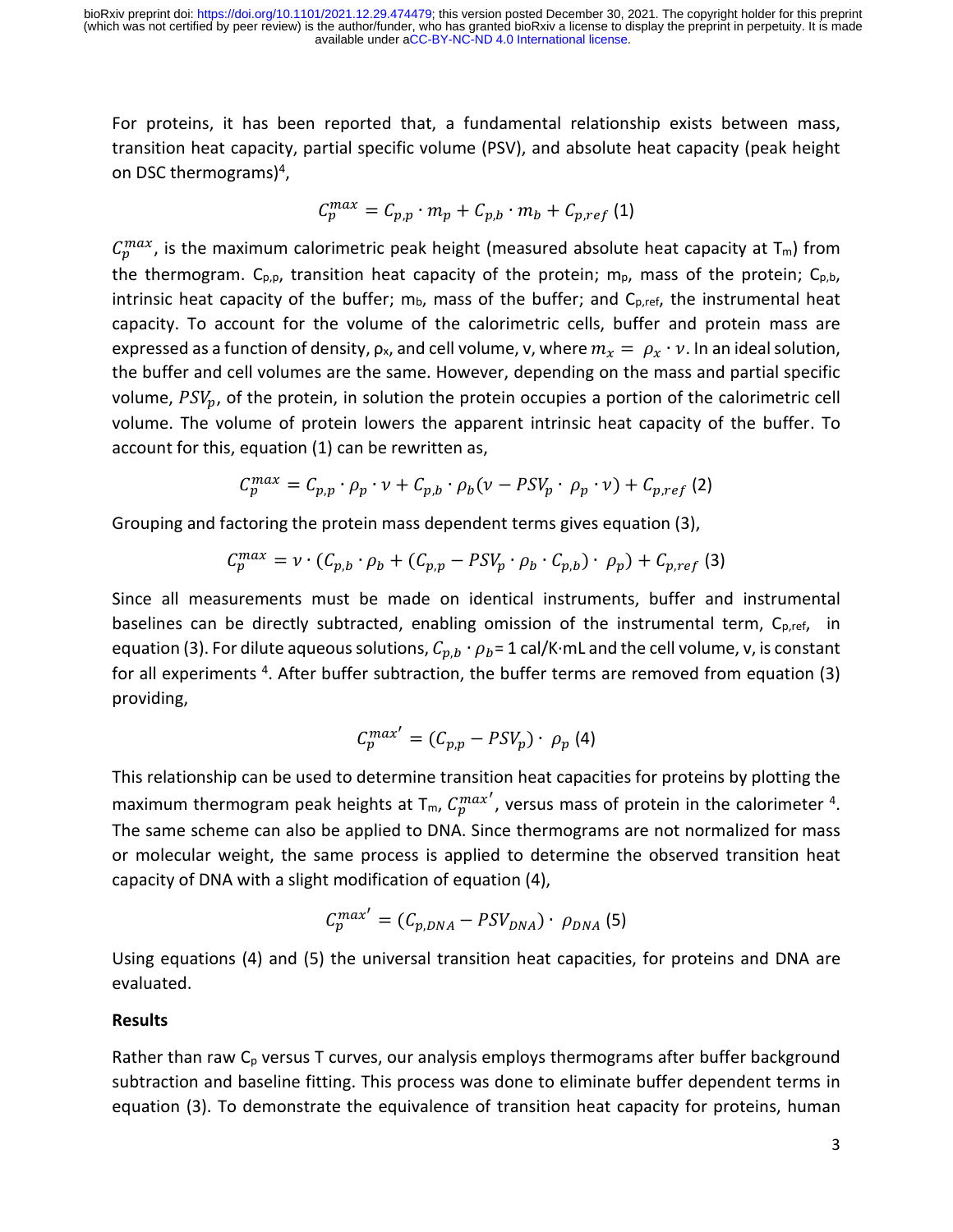available under [aCC-BY-NC-ND 4.0 International license.](http://creativecommons.org/licenses/by-nc-nd/4.0/) (which was not certified by peer review) is the author/funder, who has granted bioRxiv a license to display the preprint in perpetuity. It is made bioRxiv preprint doi: [https://doi.org/10.1101/2021.12.29.474479;](https://doi.org/10.1101/2021.12.29.474479) this version posted December 30, 2021. The copyright holder for this preprint

For proteins, it has been reported that, a fundamental relationship exists between mass, transition heat capacity, partial specific volume (PSV), and absolute heat capacity (peak height on DSC thermograms)<sup>4</sup>,

$$
C_p^{max} = C_{p,p} \cdot m_p + C_{p,b} \cdot m_b + C_{p,ref}
$$
 (1)

 $C_p^{max}$ , is the maximum calorimetric peak height (measured absolute heat capacity at T<sub>m</sub>) from the thermogram.  $C_{p,p}$ , transition heat capacity of the protein; m<sub>p</sub>, mass of the protein;  $C_{p,b}$ , intrinsic heat capacity of the buffer;  $m_b$ , mass of the buffer; and  $C_{p,ref}$ , the instrumental heat capacity. To account for the volume of the calorimetric cells, buffer and protein mass are expressed as a function of density,  $\rho_x$ , and cell volume, v, where  $m_x = \rho_x \cdot v$ . In an ideal solution, the buffer and cell volumes are the same. However, depending on the mass and partial specific volume,  $PSV_p$ , of the protein, in solution the protein occupies a portion of the calorimetric cell volume. The volume of protein lowers the apparent intrinsic heat capacity of the buffer. To account for this, equation (1) can be rewritten as,

$$
C_p^{max} = C_{p,p} \cdot \rho_p \cdot \nu + C_{p,b} \cdot \rho_b (\nu - PSV_p \cdot \rho_p \cdot \nu) + C_{p,ref} (2)
$$

Grouping and factoring the protein mass dependent terms gives equation (3),

$$
C_p^{max} = \nu \cdot (C_{p,b} \cdot \rho_b + (C_{p,p} - PSV_p \cdot \rho_b \cdot C_{p,b}) \cdot \rho_p) + C_{p,ref}
$$
 (3)

Since all measurements must be made on identical instruments, buffer and instrumental baselines can be directly subtracted, enabling omission of the instrumental term, C<sub>p,ref</sub>, in equation (3). For dilute aqueous solutions,  $C_{p,b} \cdot \rho_b = 1$  cal/K⋅mL and the cell volume, v, is constant for all experiments <sup>4</sup>. After buffer subtraction, the buffer terms are removed from equation (3) providing,

$$
C_p^{max'} = (C_{p,p} - PSV_p) \cdot \rho_p \tag{4}
$$

This relationship can be used to determine transition heat capacities for proteins by plotting the maximum thermogram peak heights at T<sub>m</sub>,  $C_p^{max'}$ , versus mass of protein in the calorimeter <sup>4</sup>. The same scheme can also be applied to DNA. Since thermograms are not normalized for mass or molecular weight, the same process is applied to determine the observed transition heat capacity of DNA with a slight modification of equation (4),

$$
C_p^{max'} = (C_{p,DNA} - PSV_{DNA}) \cdot \rho_{DNA} \tag{5}
$$

Using equations (4) and (5) the universal transition heat capacities, for proteins and DNA are evaluated.

#### **Results**

Rather than raw  $C_p$  versus T curves, our analysis employs thermograms after buffer background subtraction and baseline fitting. This process was done to eliminate buffer dependent terms in equation (3). To demonstrate the equivalence of transition heat capacity for proteins, human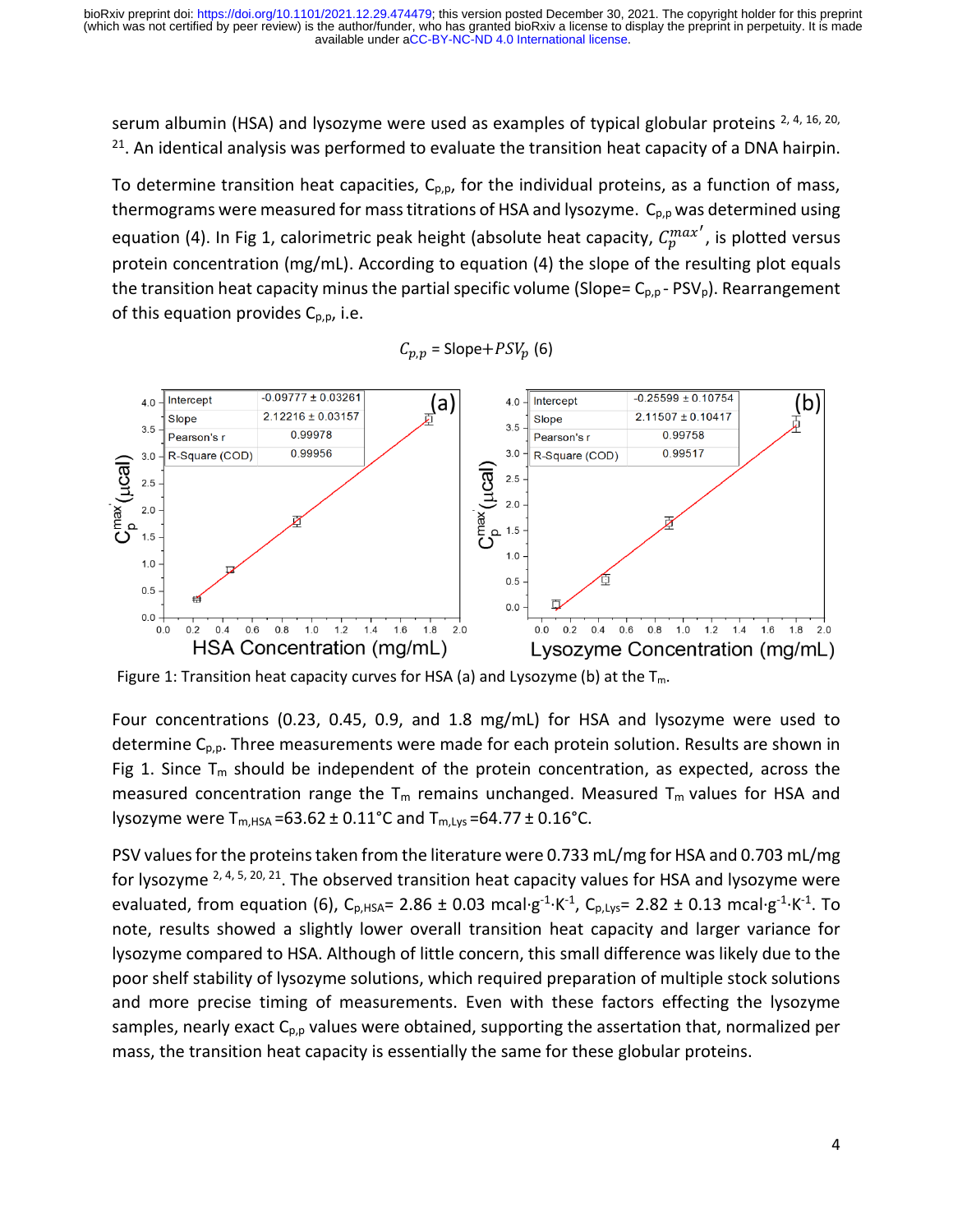available under [aCC-BY-NC-ND 4.0 International license.](http://creativecommons.org/licenses/by-nc-nd/4.0/) (which was not certified by peer review) is the author/funder, who has granted bioRxiv a license to display the preprint in perpetuity. It is made bioRxiv preprint doi: [https://doi.org/10.1101/2021.12.29.474479;](https://doi.org/10.1101/2021.12.29.474479) this version posted December 30, 2021. The copyright holder for this preprint

serum albumin (HSA) and lysozyme were used as examples of typical globular proteins  $^{2, 4, 16, 20}$ , <sup>21</sup>. An identical analysis was performed to evaluate the transition heat capacity of a DNA hairpin.

To determine transition heat capacities,  $C_{p,p}$ , for the individual proteins, as a function of mass, thermograms were measured for mass titrations of HSA and lysozyme.  $C_{p,p}$  was determined using equation (4). In Fig 1, calorimetric peak height (absolute heat capacity,  $C_p^{max'}$ , is plotted versus protein concentration (mg/mL). According to equation (4) the slope of the resulting plot equals the transition heat capacity minus the partial specific volume (Slope=  $C_{p,p}$  - PSV<sub>p</sub>). Rearrangement of this equation provides  $C_{p,p}$ , i.e.



 $C_{p,p}$  = Slope+ $PSV_p$  (6)

Figure 1: Transition heat capacity curves for HSA (a) and Lysozyme (b) at the  $T_m$ .

Four concentrations (0.23, 0.45, 0.9, and 1.8 mg/mL) for HSA and lysozyme were used to determine  $C_{p,p}$ . Three measurements were made for each protein solution. Results are shown in Fig 1. Since  $T_m$  should be independent of the protein concentration, as expected, across the measured concentration range the  $T_m$  remains unchanged. Measured  $T_m$  values for HSA and lysozyme were  $T_{m,HSA} = 63.62 \pm 0.11^{\circ}C$  and  $T_{m,Lys} = 64.77 \pm 0.16^{\circ}C$ .

PSV values for the proteins taken from the literature were 0.733 mL/mg for HSA and 0.703 mL/mg for lysozyme <sup>2, 4, 5, 20, 21</sup>. The observed transition heat capacity values for HSA and lysozyme were evaluated, from equation (6),  $C_{p,HSA}$ = 2.86 ± 0.03 mcal·g<sup>-1</sup>·K<sup>-1</sup>,  $C_{p,Lys}$ = 2.82 ± 0.13 mcal·g<sup>-1</sup>·K<sup>-1</sup>. To note, results showed a slightly lower overall transition heat capacity and larger variance for lysozyme compared to HSA. Although of little concern, this small difference was likely due to the poor shelf stability of lysozyme solutions, which required preparation of multiple stock solutions and more precise timing of measurements. Even with these factors effecting the lysozyme samples, nearly exact  $C_{p,p}$  values were obtained, supporting the assertation that, normalized per mass, the transition heat capacity is essentially the same for these globular proteins.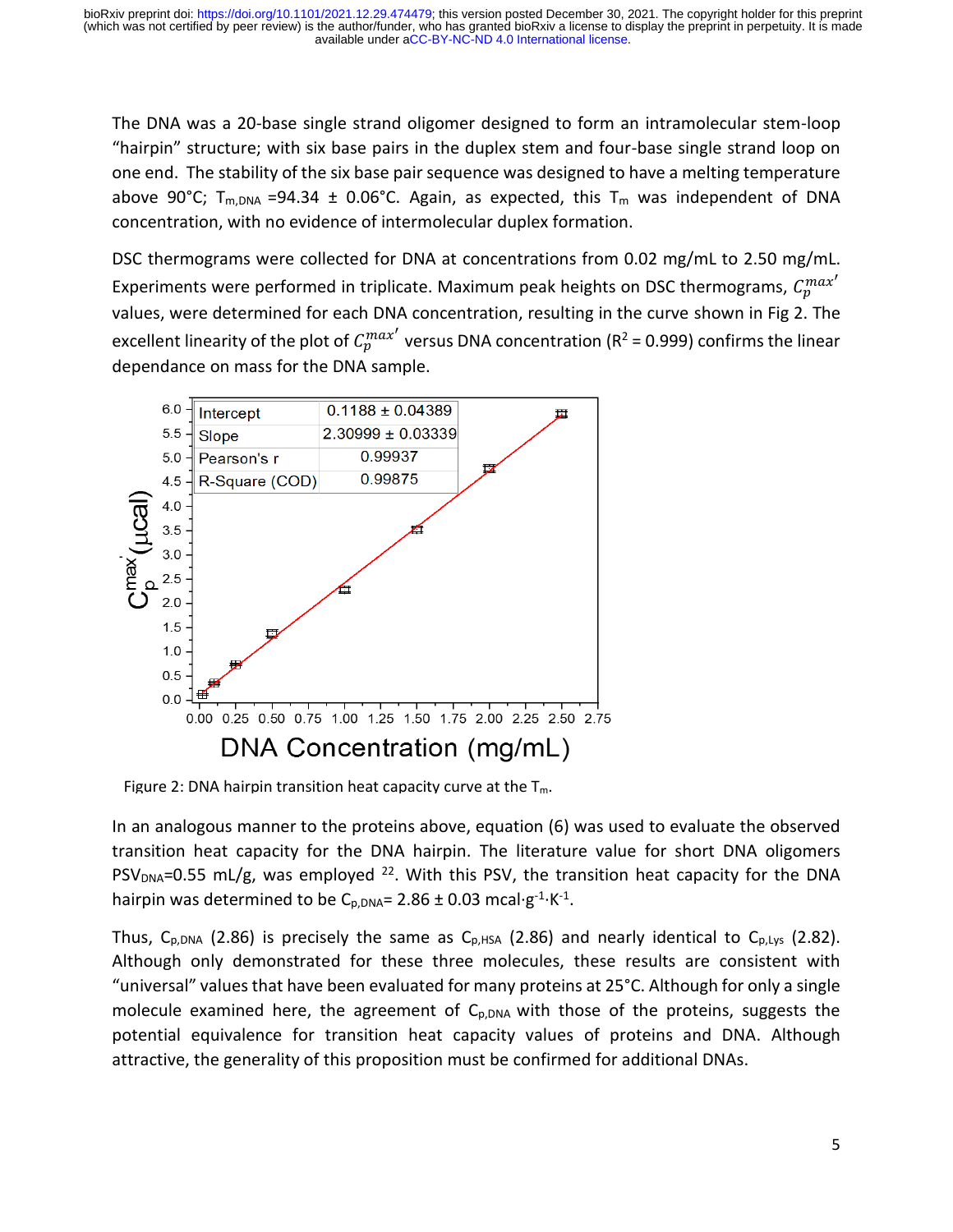The DNA was a 20-base single strand oligomer designed to form an intramolecular stem-loop "hairpin" structure; with six base pairs in the duplex stem and four-base single strand loop on one end. The stability of the six base pair sequence was designed to have a melting temperature above 90°C;  $T_{m,DNA}$  =94.34  $\pm$  0.06°C. Again, as expected, this  $T_m$  was independent of DNA concentration, with no evidence of intermolecular duplex formation.

DSC thermograms were collected for DNA at concentrations from 0.02 mg/mL to 2.50 mg/mL. Experiments were performed in triplicate. Maximum peak heights on DSC thermograms,  $C_p^{max'}$ values, were determined for each DNA concentration, resulting in the curve shown in Fig 2. The excellent linearity of the plot of  $C_p^{max'}$  versus DNA concentration (R<sup>2</sup> = 0.999) confirms the linear dependance on mass for the DNA sample.



Figure 2: DNA hairpin transition heat capacity curve at the  $T_m$ .

In an analogous manner to the proteins above, equation (6) was used to evaluate the observed transition heat capacity for the DNA hairpin. The literature value for short DNA oligomers  $PSV<sub>DNA</sub>=0.55$  mL/g, was employed <sup>22</sup>. With this PSV, the transition heat capacity for the DNA hairpin was determined to be C<sub>p,DNA</sub>= 2.86 ± 0.03 mcal·g<sup>-1</sup>·K<sup>-1</sup>.

Thus,  $C_{p,DNA}$  (2.86) is precisely the same as  $C_{p,HSA}$  (2.86) and nearly identical to  $C_{p,Lys}$  (2.82). Although only demonstrated for these three molecules, these results are consistent with "universal" values that have been evaluated for many proteins at 25°C. Although for only a single molecule examined here, the agreement of  $C_{p,DNA}$  with those of the proteins, suggests the potential equivalence for transition heat capacity values of proteins and DNA. Although attractive, the generality of this proposition must be confirmed for additional DNAs.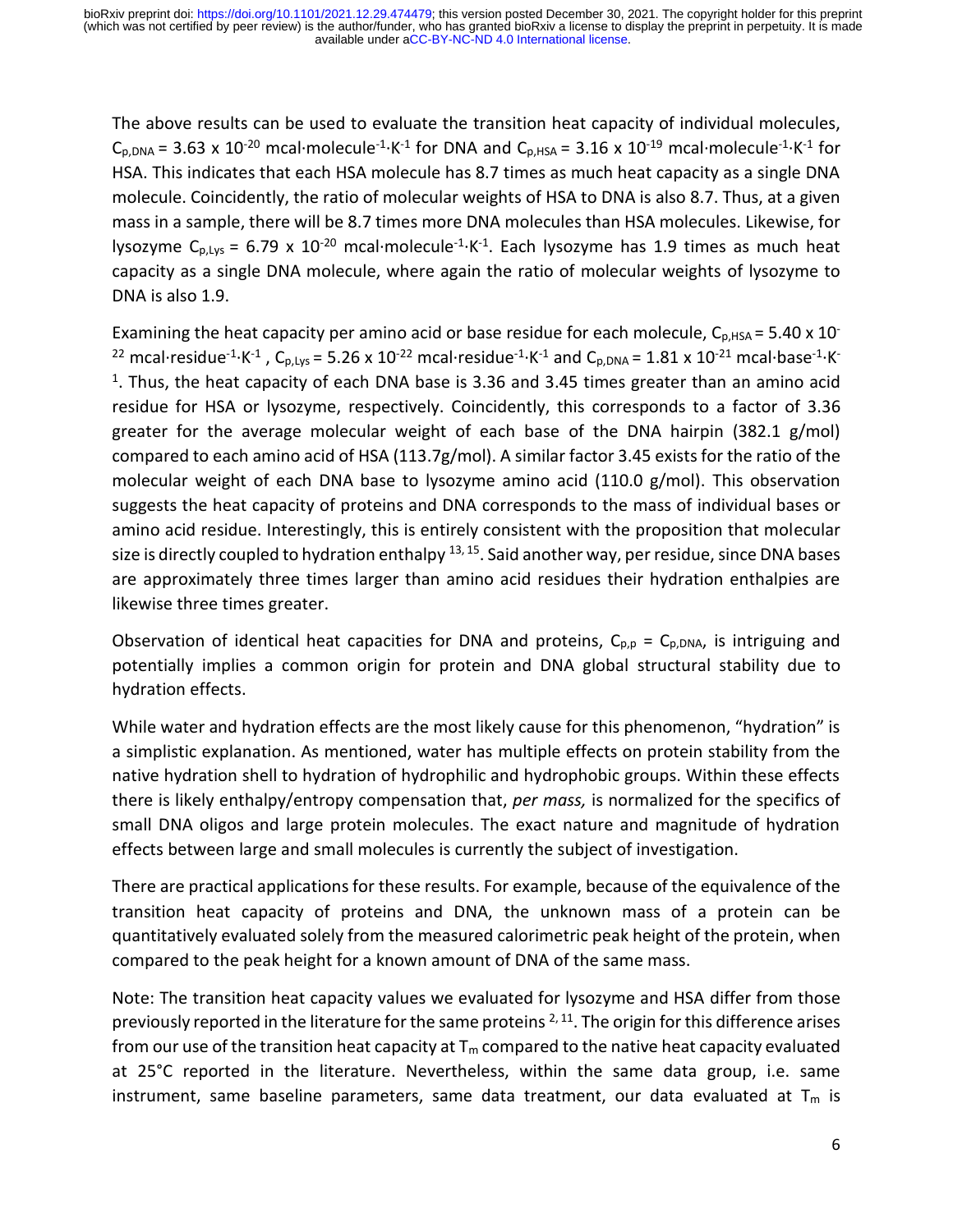The above results can be used to evaluate the transition heat capacity of individual molecules,  $C_{p,DNA}$  = 3.63 x 10<sup>-20</sup> mcal·molecule<sup>-1</sup>·K<sup>-1</sup> for DNA and  $C_{p,HSA}$  = 3.16 x 10<sup>-19</sup> mcal·molecule<sup>-1</sup>·K<sup>-1</sup> for HSA. This indicates that each HSA molecule has 8.7 times as much heat capacity as a single DNA molecule. Coincidently, the ratio of molecular weights of HSA to DNA is also 8.7. Thus, at a given mass in a sample, there will be 8.7 times more DNA molecules than HSA molecules. Likewise, for lysozyme  $C_{p, Lys}$  = 6.79 x 10<sup>-20</sup> mcal·molecule<sup>-1</sup>·K<sup>-1</sup>. Each lysozyme has 1.9 times as much heat capacity as a single DNA molecule, where again the ratio of molecular weights of lysozyme to DNA is also 1.9.

Examining the heat capacity per amino acid or base residue for each molecule,  $C_{p,HSA}$  = 5.40 x 10<sup>-</sup> <sup>22</sup> mcal·residue<sup>-1</sup>·K<sup>-1</sup>, C<sub>p,Lys</sub> = 5.26 x 10<sup>-22</sup> mcal·residue<sup>-1</sup>·K<sup>-1</sup> and C<sub>p,DNA</sub> = 1.81 x 10<sup>-21</sup> mcal·base<sup>-1</sup>·K<sup>-</sup> <sup>1</sup>. Thus, the heat capacity of each DNA base is 3.36 and 3.45 times greater than an amino acid residue for HSA or lysozyme, respectively. Coincidently, this corresponds to a factor of 3.36 greater for the average molecular weight of each base of the DNA hairpin (382.1 g/mol) compared to each amino acid of HSA (113.7g/mol). A similar factor 3.45 exists for the ratio of the molecular weight of each DNA base to lysozyme amino acid (110.0 g/mol). This observation suggests the heat capacity of proteins and DNA corresponds to the mass of individual bases or amino acid residue. Interestingly, this is entirely consistent with the proposition that molecular size is directly coupled to hydration enthalpy  $^{13, 15}$ . Said another way, per residue, since DNA bases are approximately three times larger than amino acid residues their hydration enthalpies are likewise three times greater.

Observation of identical heat capacities for DNA and proteins,  $C_{p,p} = C_{p,DNA}$ , is intriguing and potentially implies a common origin for protein and DNA global structural stability due to hydration effects.

While water and hydration effects are the most likely cause for this phenomenon, "hydration" is a simplistic explanation. As mentioned, water has multiple effects on protein stability from the native hydration shell to hydration of hydrophilic and hydrophobic groups. Within these effects there is likely enthalpy/entropy compensation that, *per mass,* is normalized for the specifics of small DNA oligos and large protein molecules. The exact nature and magnitude of hydration effects between large and small molecules is currently the subject of investigation.

There are practical applications for these results. For example, because of the equivalence of the transition heat capacity of proteins and DNA, the unknown mass of a protein can be quantitatively evaluated solely from the measured calorimetric peak height of the protein, when compared to the peak height for a known amount of DNA of the same mass.

Note: The transition heat capacity values we evaluated for lysozyme and HSA differ from those previously reported in the literature for the same proteins  $2,11$ . The origin for this difference arises from our use of the transition heat capacity at  $T_m$  compared to the native heat capacity evaluated at 25°C reported in the literature. Nevertheless, within the same data group, i.e. same instrument, same baseline parameters, same data treatment, our data evaluated at  $T_m$  is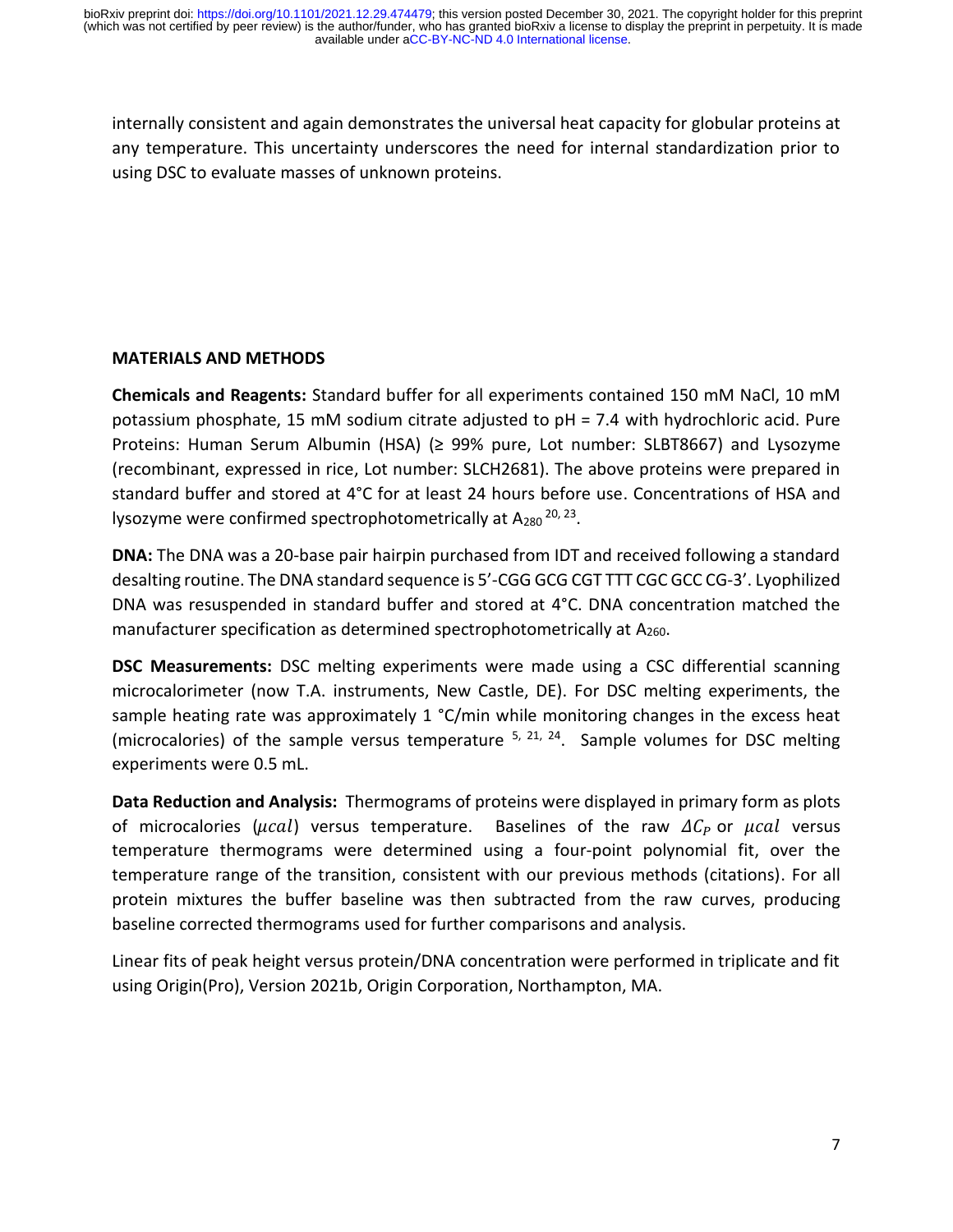internally consistent and again demonstrates the universal heat capacity for globular proteins at any temperature. This uncertainty underscores the need for internal standardization prior to using DSC to evaluate masses of unknown proteins.

### **MATERIALS AND METHODS**

**Chemicals and Reagents:** Standard buffer for all experiments contained 150 mM NaCl, 10 mM potassium phosphate, 15 mM sodium citrate adjusted to pH = 7.4 with hydrochloric acid. Pure Proteins: Human Serum Albumin (HSA) (≥ 99% pure, Lot number: SLBT8667) and Lysozyme (recombinant, expressed in rice, Lot number: SLCH2681). The above proteins were prepared in standard buffer and stored at 4°C for at least 24 hours before use. Concentrations of HSA and lysozyme were confirmed spectrophotometrically at  $A_{280}$ <sup>20, 23</sup>.

**DNA:** The DNA was a 20-base pair hairpin purchased from IDT and received following a standard desalting routine. The DNA standard sequence is 5'-CGG GCG CGT TTT CGC GCC CG-3'. Lyophilized DNA was resuspended in standard buffer and stored at 4°C. DNA concentration matched the manufacturer specification as determined spectrophotometrically at  $A_{260}$ .

**DSC Measurements:** DSC melting experiments were made using a CSC differential scanning microcalorimeter (now T.A. instruments, New Castle, DE). For DSC melting experiments, the sample heating rate was approximately 1 °C/min while monitoring changes in the excess heat (microcalories) of the sample versus temperature  $5, 21, 24$ . Sample volumes for DSC melting experiments were 0.5 mL.

**Data Reduction and Analysis:** Thermograms of proteins were displayed in primary form as plots of microcalories ( $\mu$ cal) versus temperature. Baselines of the raw  $\Delta C_p$  or  $\mu$ cal versus temperature thermograms were determined using a four-point polynomial fit, over the temperature range of the transition, consistent with our previous methods (citations). For all protein mixtures the buffer baseline was then subtracted from the raw curves, producing baseline corrected thermograms used for further comparisons and analysis.

Linear fits of peak height versus protein/DNA concentration were performed in triplicate and fit using Origin(Pro), Version 2021b, Origin Corporation, Northampton, MA.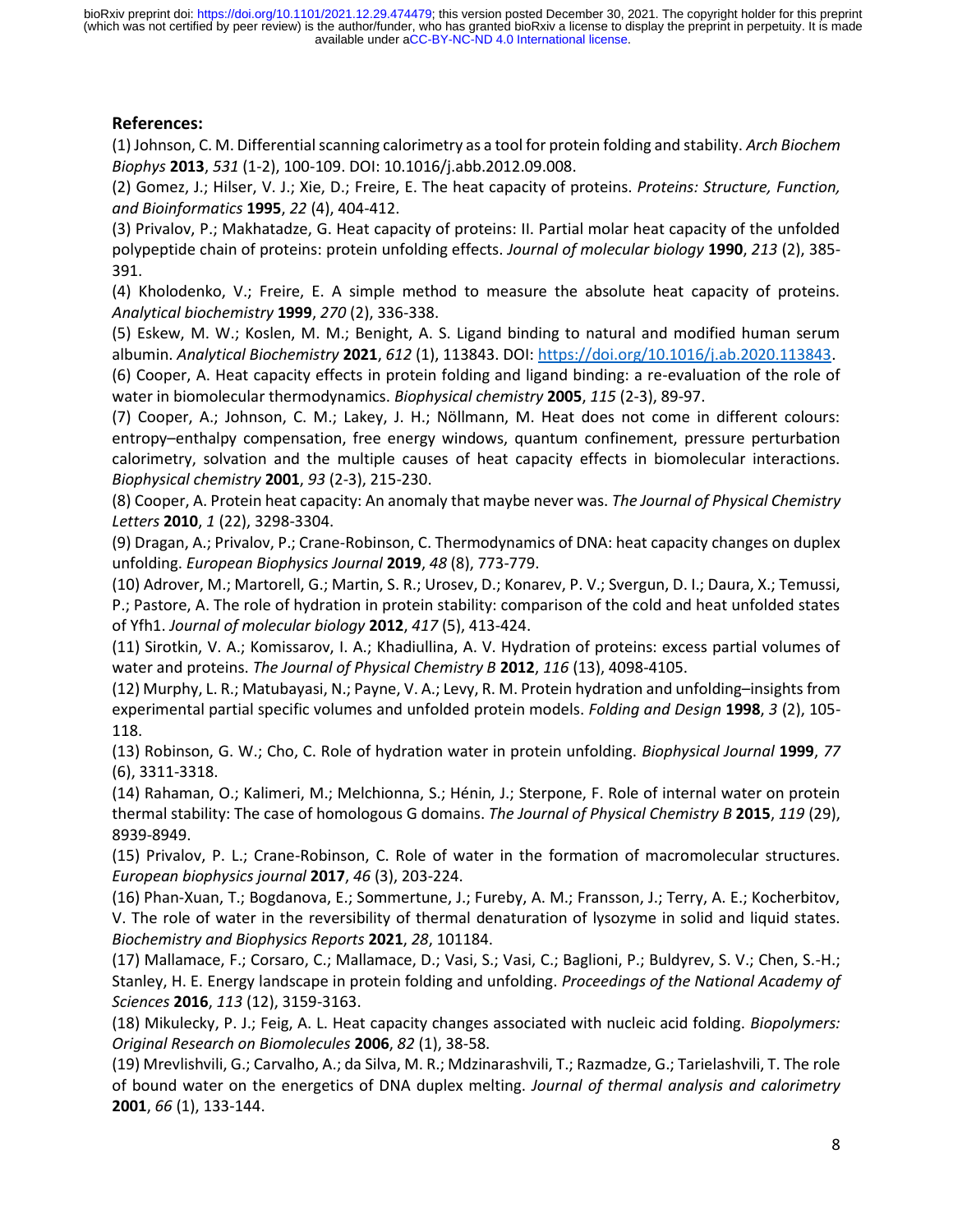available under [aCC-BY-NC-ND 4.0 International license.](http://creativecommons.org/licenses/by-nc-nd/4.0/) (which was not certified by peer review) is the author/funder, who has granted bioRxiv a license to display the preprint in perpetuity. It is made bioRxiv preprint doi: [https://doi.org/10.1101/2021.12.29.474479;](https://doi.org/10.1101/2021.12.29.474479) this version posted December 30, 2021. The copyright holder for this preprint

### **References:**

(1) Johnson, C. M. Differential scanning calorimetry as a tool for protein folding and stability. *Arch Biochem Biophys* **2013**, *531* (1-2), 100-109. DOI: 10.1016/j.abb.2012.09.008.

(2) Gomez, J.; Hilser, V. J.; Xie, D.; Freire, E. The heat capacity of proteins. *Proteins: Structure, Function, and Bioinformatics* **1995**, *22* (4), 404-412.

(3) Privalov, P.; Makhatadze, G. Heat capacity of proteins: II. Partial molar heat capacity of the unfolded polypeptide chain of proteins: protein unfolding effects. *Journal of molecular biology* **1990**, *213* (2), 385- 391.

(4) Kholodenko, V.; Freire, E. A simple method to measure the absolute heat capacity of proteins. *Analytical biochemistry* **1999**, *270* (2), 336-338.

(5) Eskew, M. W.; Koslen, M. M.; Benight, A. S. Ligand binding to natural and modified human serum albumin. *Analytical Biochemistry* **2021**, *612* (1), 113843. DOI[: https://doi.org/10.1016/j.ab.2020.113843.](https://doi.org/10.1016/j.ab.2020.113843)

(6) Cooper, A. Heat capacity effects in protein folding and ligand binding: a re-evaluation of the role of water in biomolecular thermodynamics. *Biophysical chemistry* **2005**, *115* (2-3), 89-97.

(7) Cooper, A.; Johnson, C. M.; Lakey, J. H.; Nöllmann, M. Heat does not come in different colours: entropy–enthalpy compensation, free energy windows, quantum confinement, pressure perturbation calorimetry, solvation and the multiple causes of heat capacity effects in biomolecular interactions. *Biophysical chemistry* **2001**, *93* (2-3), 215-230.

(8) Cooper, A. Protein heat capacity: An anomaly that maybe never was. *The Journal of Physical Chemistry Letters* **2010**, *1* (22), 3298-3304.

(9) Dragan, A.; Privalov, P.; Crane-Robinson, C. Thermodynamics of DNA: heat capacity changes on duplex unfolding. *European Biophysics Journal* **2019**, *48* (8), 773-779.

(10) Adrover, M.; Martorell, G.; Martin, S. R.; Urosev, D.; Konarev, P. V.; Svergun, D. I.; Daura, X.; Temussi, P.; Pastore, A. The role of hydration in protein stability: comparison of the cold and heat unfolded states of Yfh1. *Journal of molecular biology* **2012**, *417* (5), 413-424.

(11) Sirotkin, V. A.; Komissarov, I. A.; Khadiullina, A. V. Hydration of proteins: excess partial volumes of water and proteins. *The Journal of Physical Chemistry B* **2012**, *116* (13), 4098-4105.

(12) Murphy, L. R.; Matubayasi, N.; Payne, V. A.; Levy, R. M. Protein hydration and unfolding–insights from experimental partial specific volumes and unfolded protein models. *Folding and Design* **1998**, *3* (2), 105- 118.

(13) Robinson, G. W.; Cho, C. Role of hydration water in protein unfolding. *Biophysical Journal* **1999**, *77* (6), 3311-3318.

(14) Rahaman, O.; Kalimeri, M.; Melchionna, S.; Hénin, J.; Sterpone, F. Role of internal water on protein thermal stability: The case of homologous G domains. *The Journal of Physical Chemistry B* **2015**, *119* (29), 8939-8949.

(15) Privalov, P. L.; Crane-Robinson, C. Role of water in the formation of macromolecular structures. *European biophysics journal* **2017**, *46* (3), 203-224.

(16) Phan-Xuan, T.; Bogdanova, E.; Sommertune, J.; Fureby, A. M.; Fransson, J.; Terry, A. E.; Kocherbitov, V. The role of water in the reversibility of thermal denaturation of lysozyme in solid and liquid states. *Biochemistry and Biophysics Reports* **2021**, *28*, 101184.

(17) Mallamace, F.; Corsaro, C.; Mallamace, D.; Vasi, S.; Vasi, C.; Baglioni, P.; Buldyrev, S. V.; Chen, S.-H.; Stanley, H. E. Energy landscape in protein folding and unfolding. *Proceedings of the National Academy of Sciences* **2016**, *113* (12), 3159-3163.

(18) Mikulecky, P. J.; Feig, A. L. Heat capacity changes associated with nucleic acid folding. *Biopolymers: Original Research on Biomolecules* **2006**, *82* (1), 38-58.

(19) Mrevlishvili, G.; Carvalho, A.; da Silva, M. R.; Mdzinarashvili, T.; Razmadze, G.; Tarielashvili, T. The role of bound water on the energetics of DNA duplex melting. *Journal of thermal analysis and calorimetry*  **2001**, *66* (1), 133-144.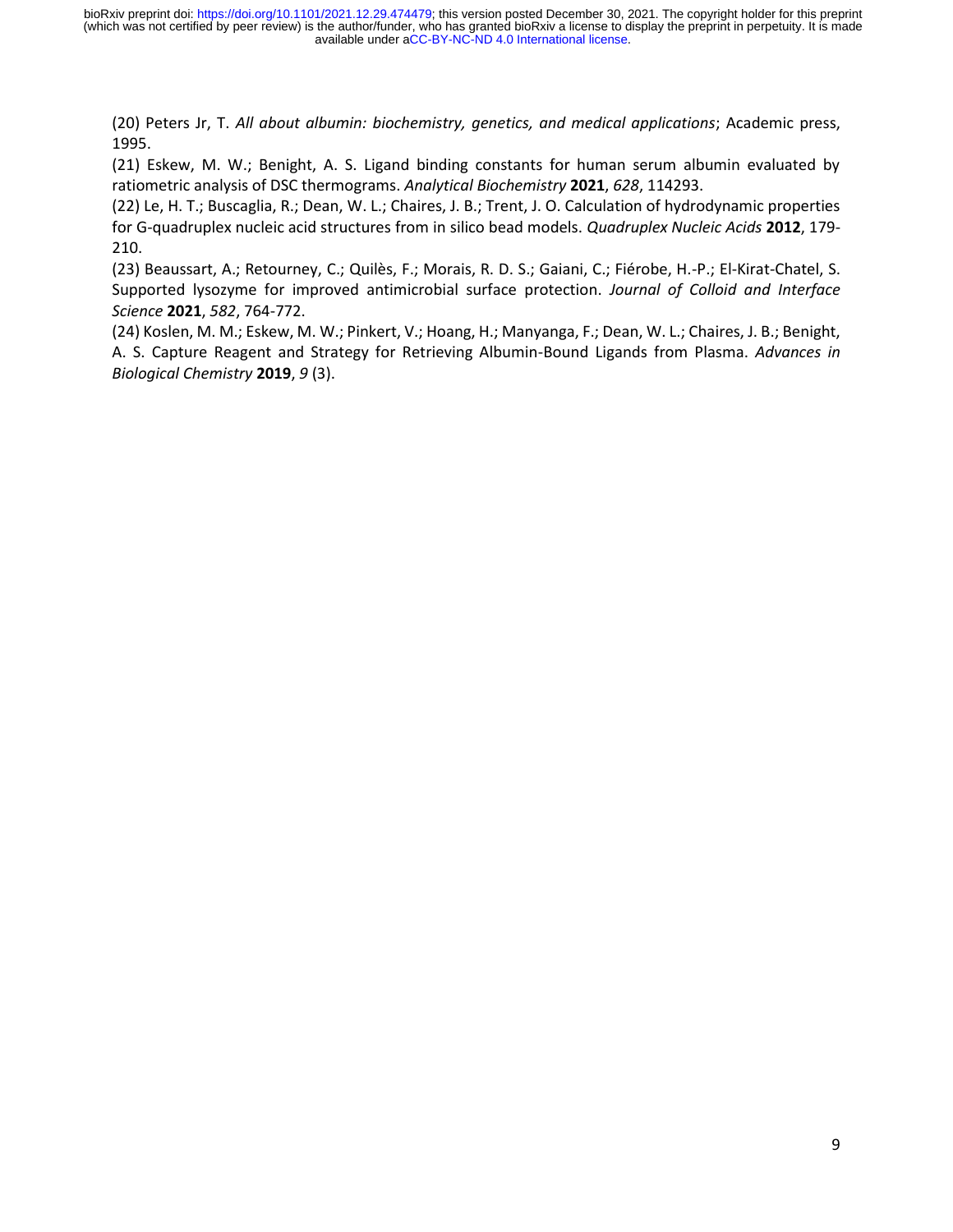(20) Peters Jr, T. *All about albumin: biochemistry, genetics, and medical applications*; Academic press, 1995.

(21) Eskew, M. W.; Benight, A. S. Ligand binding constants for human serum albumin evaluated by ratiometric analysis of DSC thermograms. *Analytical Biochemistry* **2021**, *628*, 114293.

(22) Le, H. T.; Buscaglia, R.; Dean, W. L.; Chaires, J. B.; Trent, J. O. Calculation of hydrodynamic properties for G-quadruplex nucleic acid structures from in silico bead models. *Quadruplex Nucleic Acids* **2012**, 179- 210.

(23) Beaussart, A.; Retourney, C.; Quilès, F.; Morais, R. D. S.; Gaiani, C.; Fiérobe, H.-P.; El-Kirat-Chatel, S. Supported lysozyme for improved antimicrobial surface protection. *Journal of Colloid and Interface Science* **2021**, *582*, 764-772.

(24) Koslen, M. M.; Eskew, M. W.; Pinkert, V.; Hoang, H.; Manyanga, F.; Dean, W. L.; Chaires, J. B.; Benight, A. S. Capture Reagent and Strategy for Retrieving Albumin-Bound Ligands from Plasma. *Advances in Biological Chemistry* **2019**, *9* (3).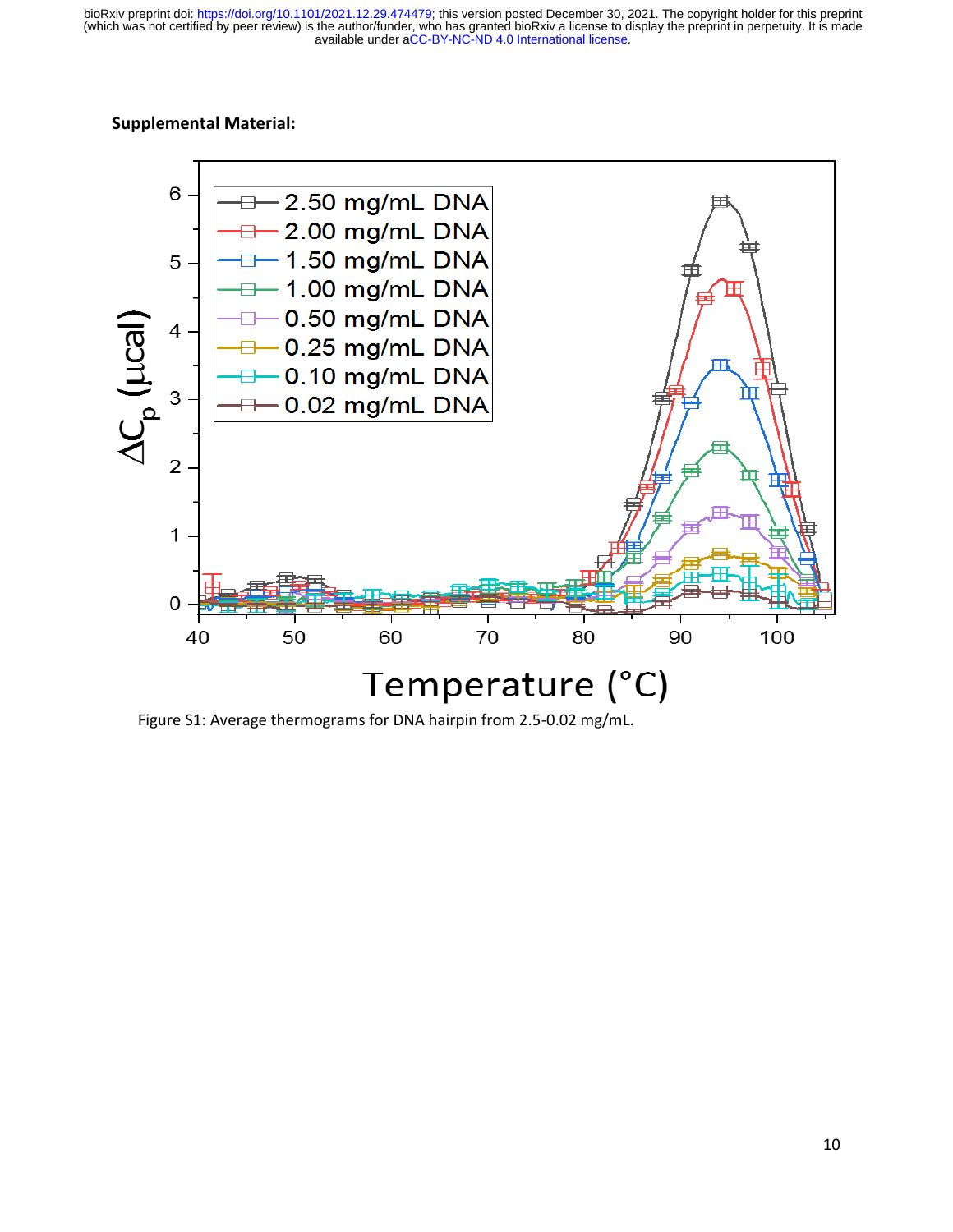available under [aCC-BY-NC-ND 4.0 International license.](http://creativecommons.org/licenses/by-nc-nd/4.0/) (which was not certified by peer review) is the author/funder, who has granted bioRxiv a license to display the preprint in perpetuity. It is made bioRxiv preprint doi: [https://doi.org/10.1101/2021.12.29.474479;](https://doi.org/10.1101/2021.12.29.474479) this version posted December 30, 2021. The copyright holder for this preprint

#### **Supplemental Material:**



Figure S1: Average thermograms for DNA hairpin from 2.5-0.02 mg/mL.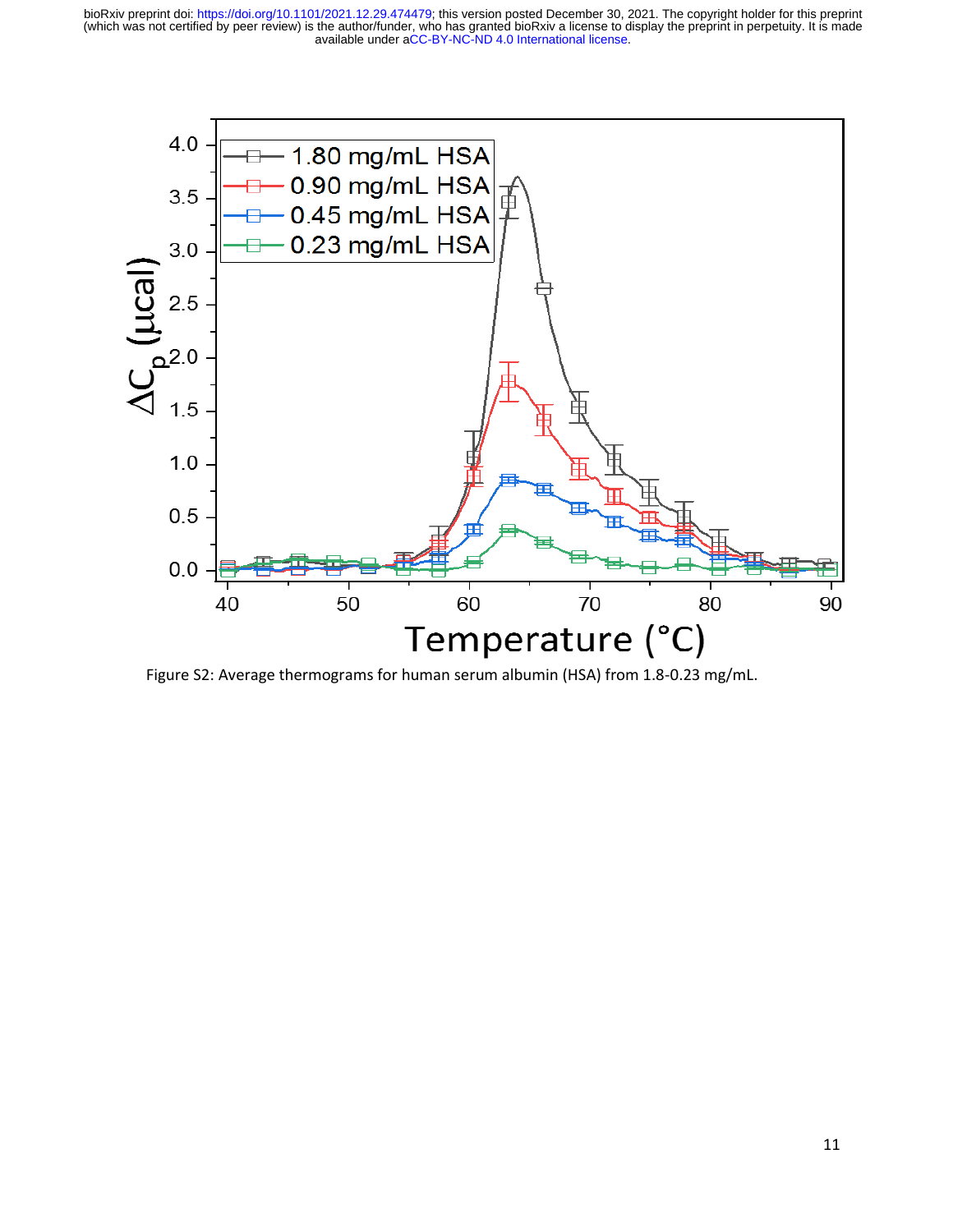available under [aCC-BY-NC-ND 4.0 International license.](http://creativecommons.org/licenses/by-nc-nd/4.0/) (which was not certified by peer review) is the author/funder, who has granted bioRxiv a license to display the preprint in perpetuity. It is made bioRxiv preprint doi: [https://doi.org/10.1101/2021.12.29.474479;](https://doi.org/10.1101/2021.12.29.474479) this version posted December 30, 2021. The copyright holder for this preprint



Figure S2: Average thermograms for human serum albumin (HSA) from 1.8-0.23 mg/mL.